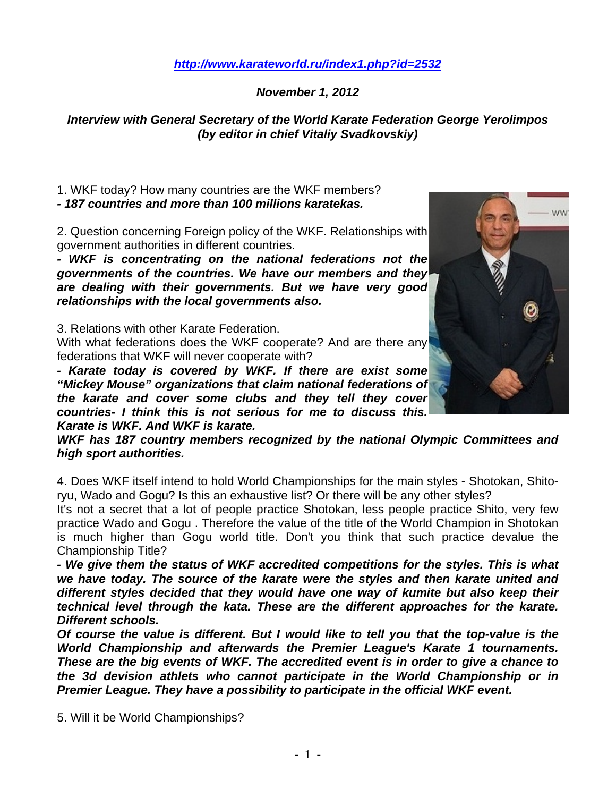## *<http://www.karateworld.ru/index1.php?id=2532>*

## *November 1, 2012*

## *Interview with General Secretary of the World Karate Federation George Yerolimpos (by editor in chief Vitaliy Svadkovskiy)*

1. WKF today? How many countries are the WKF members? *- 187 countries and more than 100 millions karatekas.* 

2. Question concerning Foreign policy of the WKF. Relationships with government authorities in different countries.

*- WKF is concentrating on the national federations not the governments of the countries. We have our members and they are dealing with their governments. But we have very good relationships with the local governments also.* 

3. Relations with other Karate Federation.

With what federations does the WKF cooperate? And are there any federations that WKF will never cooperate with?

*- Karate today is covered by WKF. If there are exist some "Mickey Mouse" organizations that claim national federations of the karate and cover some clubs and they tell they cover countries- I think this is not serious for me to discuss this. Karate is WKF. And WKF is karate.* 



*WKF has 187 country members recognized by the national Olympic Committees and high sport authorities.* 

4. Does WKF itself intend to hold World Championships for the main styles - Shotokan, Shitoryu, Wado and Gogu? Is this an exhaustive list? Or there will be any other styles?

It's not a secret that a lot of people practice Shotokan, less people practice Shito, very few practice Wado and Gogu . Therefore the value of the title of the World Champion in Shotokan is much higher than Gogu world title. Don't you think that such practice devalue the Championship Title?

*- We give them the status of WKF accredited competitions for the styles. This is what we have today. The source of the karate were the styles and then karate united and different styles decided that they would have one way of kumite but also keep their technical level through the kata. These are the different approaches for the karate. Different schools.* 

*Of course the value is different. But I would like to tell you that the top-value is the World Championship and afterwards the Premier League's Karate 1 tournaments. These are the big events of WKF. The accredited event is in order to give a chance to the 3d devision athlets who cannot participate in the World Championship or in Premier League. They have a possibility to participate in the official WKF event.* 

5. Will it be World Championships?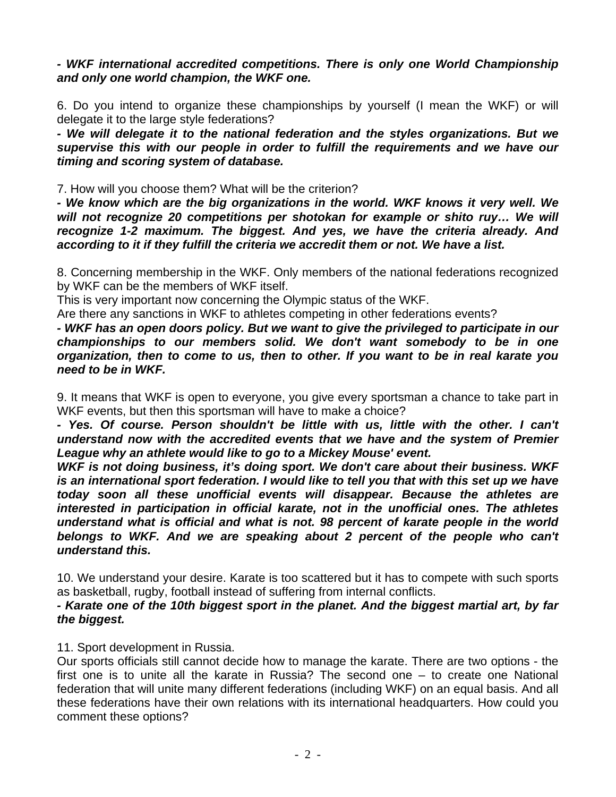*- WKF international accredited competitions. There is only one World Championship and only one world champion, the WKF one.* 

6. Do you intend to organize these championships by yourself (I mean the WKF) or will delegate it to the large style federations?

*- We will delegate it to the national federation and the styles organizations. But we supervise this with our people in order to fulfill the requirements and we have our timing and scoring system of database.* 

7. How will you choose them? What will be the criterion?

*- We know which are the big organizations in the world. WKF knows it very well. We will not recognize 20 competitions per shotokan for example or shito ruy… We will recognize 1-2 maximum. The biggest. And yes, we have the criteria already. And according to it if they fulfill the criteria we accredit them or not. We have a list.* 

8. Concerning membership in the WKF. Only members of the national federations recognized by WKF can be the members of WKF itself.

This is very important now concerning the Olympic status of the WKF.

Are there any sanctions in WKF to athletes competing in other federations events?

*- WKF has an open doors policy. But we want to give the privileged to participate in our championships to our members solid. We don't want somebody to be in one organization, then to come to us, then to other. If you want to be in real karate you need to be in WKF.* 

9. It means that WKF is open to everyone, you give every sportsman a chance to take part in WKF events, but then this sportsman will have to make a choice?

- Yes. Of course. Person shouldn't be little with us, little with the other. I can't *understand now with the accredited events that we have and the system of Premier League why an athlete would like to go to a Mickey Mouse' event.* 

*WKF is not doing business, it's doing sport. We don't care about their business. WKF*  is an international sport federation. I would like to tell you that with this set up we have *today soon all these unofficial events will disappear. Because the athletes are interested in participation in official karate, not in the unofficial ones. The athletes understand what is official and what is not. 98 percent of karate people in the world*  belongs to WKF. And we are speaking about 2 percent of the people who can't *understand this.* 

10. We understand your desire. Karate is too scattered but it has to compete with such sports as basketball, rugby, football instead of suffering from internal conflicts.

## *- Karate one of the 10th biggest sport in the planet. And the biggest martial art, by far the biggest.*

11. Sport development in Russia.

Our sports officials still cannot decide how to manage the karate. There are two options - the first one is to unite all the karate in Russia? The second one – to create one National federation that will unite many different federations (including WKF) on an equal basis. And all these federations have their own relations with its international headquarters. How could you comment these options?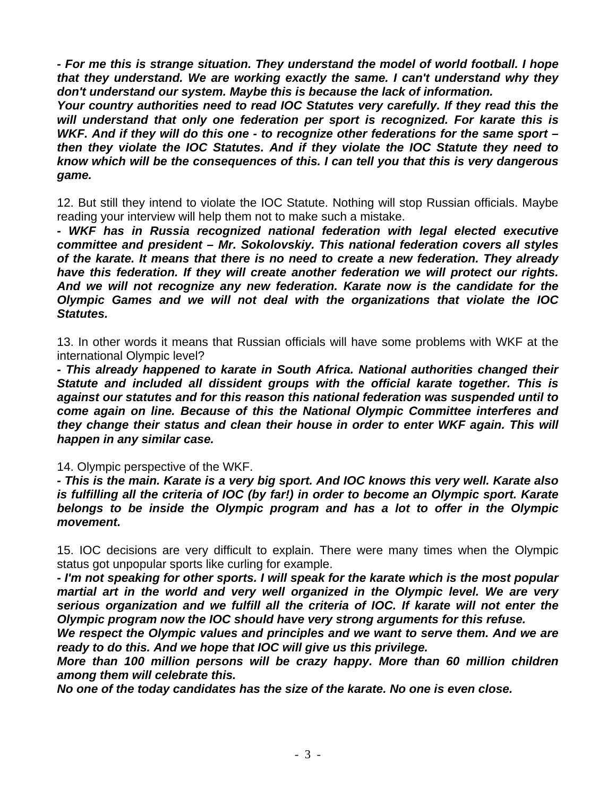*- For me this is strange situation. They understand the model of world football. I hope that they understand. We are working exactly the same. I can't understand why they don't understand our system. Maybe this is because the lack of information.* 

*Your country authorities need to read IOC Statutes very carefully. If they read this the will understand that only one federation per sport is recognized. For karate this is WKF. And if they will do this one - to recognize other federations for the same sport – then they violate the IOC Statutes. And if they violate the IOC Statute they need to know which will be the consequences of this. I can tell you that this is very dangerous game.* 

12. But still they intend to violate the IOC Statute. Nothing will stop Russian officials. Maybe reading your interview will help them not to make such a mistake.

*- WKF has in Russia recognized national federation with legal elected executive committee and president – Mr. Sokolovskiy. This national federation covers all styles of the karate. It means that there is no need to create a new federation. They already have this federation. If they will create another federation we will protect our rights. And we will not recognize any new federation. Karate now is the candidate for the Olympic Games and we will not deal with the organizations that violate the IOC Statutes.* 

13. In other words it means that Russian officials will have some problems with WKF at the international Olympic level?

*- This already happened to karate in South Africa. National authorities changed their Statute and included all dissident groups with the official karate together. This is against our statutes and for this reason this national federation was suspended until to come again on line. Because of this the National Olympic Committee interferes and they change their status and clean their house in order to enter WKF again. This will happen in any similar case.* 

14. Olympic perspective of the WKF.

*- This is the main. Karate is a very big sport. And IOC knows this very well. Karate also is fulfilling all the criteria of IOC (by far!) in order to become an Olympic sport. Karate belongs to be inside the Olympic program and has a lot to offer in the Olympic movement.* 

15. IOC decisions are very difficult to explain. There were many times when the Olympic status got unpopular sports like curling for example.

*- I'm not speaking for other sports. I will speak for the karate which is the most popular martial art in the world and very well organized in the Olympic level. We are very serious organization and we fulfill all the criteria of IOC. If karate will not enter the Olympic program now the IOC should have very strong arguments for this refuse.* 

*We respect the Olympic values and principles and we want to serve them. And we are ready to do this. And we hope that IOC will give us this privilege.* 

*More than 100 million persons will be crazy happy. More than 60 million children among them will celebrate this.* 

*No one of the today candidates has the size of the karate. No one is even close.*